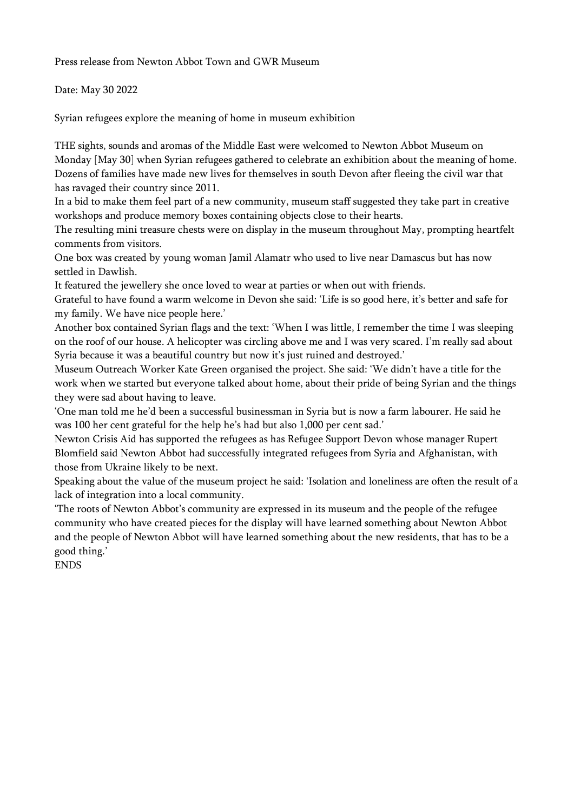Press release from Newton Abbot Town and GWR Museum

Date: May 30 2022

Syrian refugees explore the meaning of home in museum exhibition

THE sights, sounds and aromas of the Middle East were welcomed to Newton Abbot Museum on Monday [May 30] when Syrian refugees gathered to celebrate an exhibition about the meaning of home. Dozens of families have made new lives for themselves in south Devon after fleeing the civil war that has ravaged their country since 2011.

In a bid to make them feel part of a new community, museum staff suggested they take part in creative workshops and produce memory boxes containing objects close to their hearts.

The resulting mini treasure chests were on display in the museum throughout May, prompting heartfelt comments from visitors.

One box was created by young woman Jamil Alamatr who used to live near Damascus but has now settled in Dawlish.

It featured the jewellery she once loved to wear at parties or when out with friends.

Grateful to have found a warm welcome in Devon she said: 'Life is so good here, it's better and safe for my family. We have nice people here.'

Another box contained Syrian flags and the text: 'When I was little, I remember the time I was sleeping on the roof of our house. A helicopter was circling above me and I was very scared. I'm really sad about Syria because it was a beautiful country but now it's just ruined and destroyed.'

Museum Outreach Worker Kate Green organised the project. She said: 'We didn't have a title for the work when we started but everyone talked about home, about their pride of being Syrian and the things they were sad about having to leave.

'One man told me he'd been a successful businessman in Syria but is now a farm labourer. He said he was 100 her cent grateful for the help he's had but also 1,000 per cent sad.'

Newton Crisis Aid has supported the refugees as has Refugee Support Devon whose manager Rupert Blomfield said Newton Abbot had successfully integrated refugees from Syria and Afghanistan, with those from Ukraine likely to be next.

Speaking about the value of the museum project he said: 'Isolation and loneliness are often the result of a lack of integration into a local community.

'The roots of Newton Abbot's community are expressed in its museum and the people of the refugee community who have created pieces for the display will have learned something about Newton Abbot and the people of Newton Abbot will have learned something about the new residents, that has to be a good thing.'

ENDS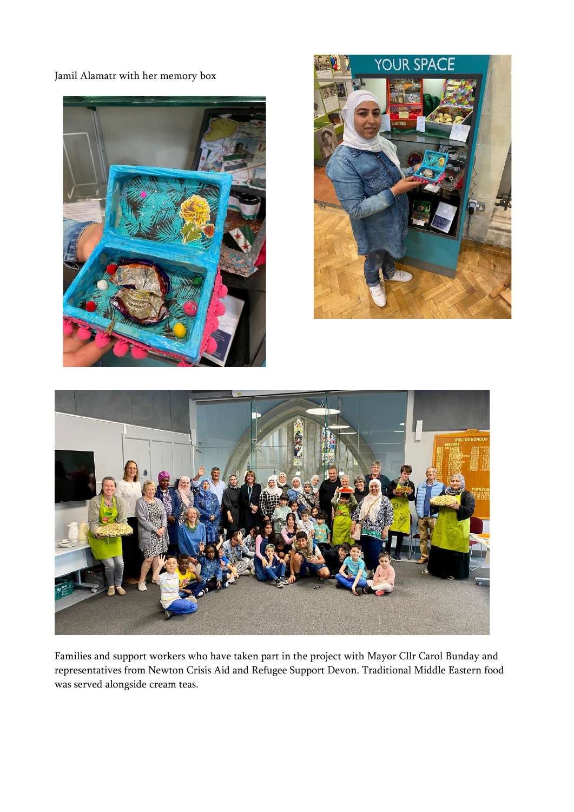Jamil Alamatr with her memory box







Families and support workers who have taken part in the project with Mayor Cllr Carol Bunday and representatives from Newton Crisis Aid and Refugee Support Devon. Traditional Middle Eastern food was served alongside cream teas.